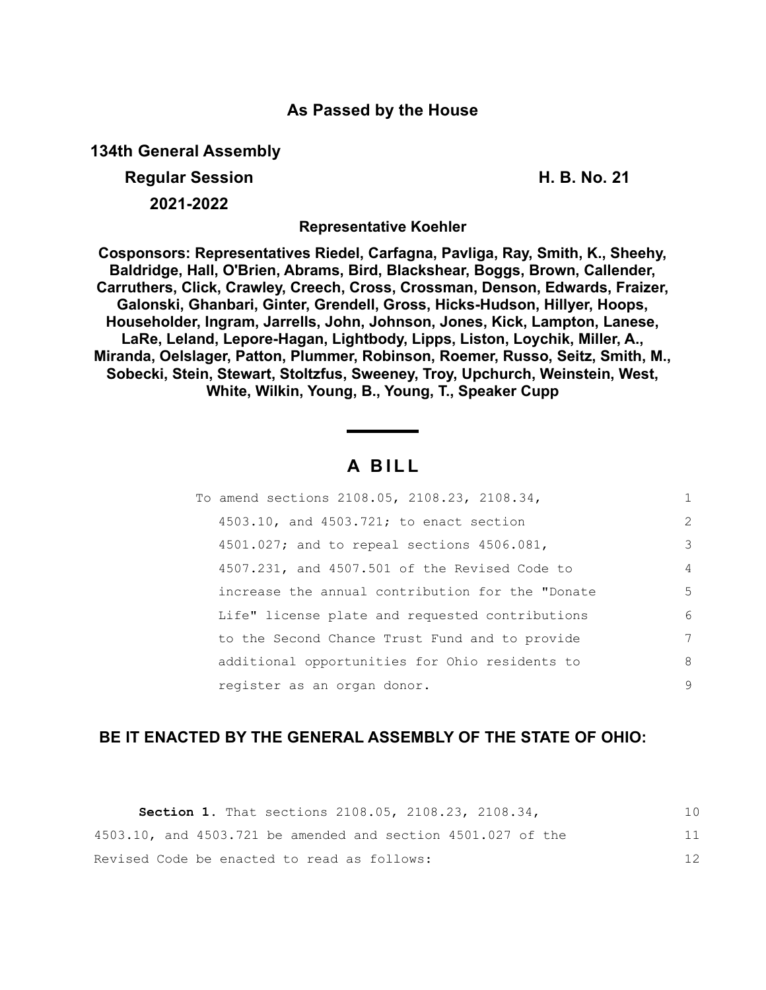### **As Passed by the House**

**134th General Assembly**

# **Regular Session H. B. No. 21 2021-2022**

**Representative Koehler**

**Cosponsors: Representatives Riedel, Carfagna, Pavliga, Ray, Smith, K., Sheehy, Baldridge, Hall, O'Brien, Abrams, Bird, Blackshear, Boggs, Brown, Callender, Carruthers, Click, Crawley, Creech, Cross, Crossman, Denson, Edwards, Fraizer, Galonski, Ghanbari, Ginter, Grendell, Gross, Hicks-Hudson, Hillyer, Hoops, Householder, Ingram, Jarrells, John, Johnson, Jones, Kick, Lampton, Lanese, LaRe, Leland, Lepore-Hagan, Lightbody, Lipps, Liston, Loychik, Miller, A., Miranda, Oelslager, Patton, Plummer, Robinson, Roemer, Russo, Seitz, Smith, M., Sobecki, Stein, Stewart, Stoltzfus, Sweeney, Troy, Upchurch, Weinstein, West, White, Wilkin, Young, B., Young, T., Speaker Cupp**

## **A B I L L**

| To amend sections 2108.05, 2108.23, 2108.34,     | 1              |
|--------------------------------------------------|----------------|
| 4503.10, and 4503.721; to enact section          | $\mathcal{L}$  |
| $4501.027$ ; and to repeal sections $4506.081$ , | 3              |
| 4507.231, and 4507.501 of the Revised Code to    | $\overline{4}$ |
| increase the annual contribution for the "Donate | 5              |
| Life" license plate and requested contributions  | 6              |
| to the Second Chance Trust Fund and to provide   | 7              |
| additional opportunities for Ohio residents to   | 8              |
| register as an organ donor.                      | 9              |

## **BE IT ENACTED BY THE GENERAL ASSEMBLY OF THE STATE OF OHIO:**

| <b>Section 1.</b> That sections 2108.05, 2108.23, 2108.34,          | 10 |
|---------------------------------------------------------------------|----|
| $4503.10$ , and $4503.721$ be amended and section $4501.027$ of the | 11 |
| Revised Code be enacted to read as follows:                         | 12 |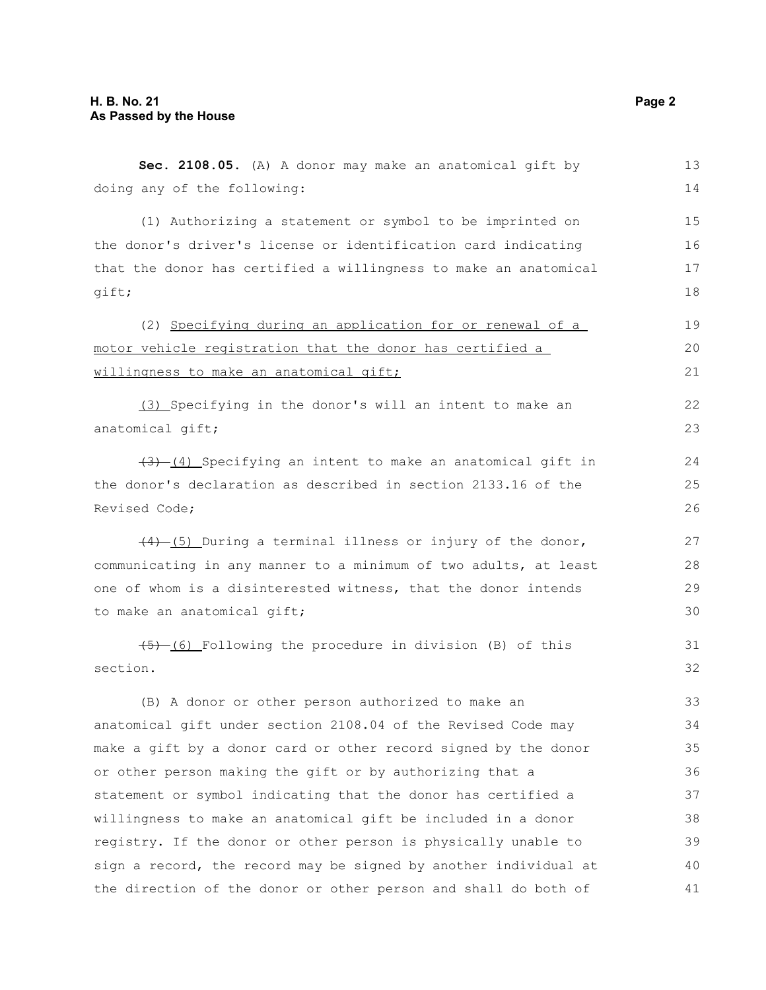| Sec. 2108.05. (A) A donor may make an anatomical gift by         | 13 |
|------------------------------------------------------------------|----|
| doing any of the following:                                      | 14 |
| (1) Authorizing a statement or symbol to be imprinted on         | 15 |
| the donor's driver's license or identification card indicating   | 16 |
| that the donor has certified a willingness to make an anatomical |    |
| gift;                                                            | 18 |
| (2) Specifying during an application for or renewal of a         | 19 |
| motor vehicle registration that the donor has certified a        | 20 |
| willingness to make an anatomical gift;                          | 21 |
| (3) Specifying in the donor's will an intent to make an          | 22 |
| anatomical gift;                                                 | 23 |
| (4) (4) Specifying an intent to make an anatomical gift in       | 24 |
| the donor's declaration as described in section 2133.16 of the   | 25 |
| Revised Code;                                                    | 26 |
| $(4)$ (5) During a terminal illness or injury of the donor,      | 27 |
| communicating in any manner to a minimum of two adults, at least | 28 |
| one of whom is a disinterested witness, that the donor intends   | 29 |
| to make an anatomical gift;                                      | 30 |
| (5) (6) Following the procedure in division (B) of this          | 31 |
| section.                                                         | 32 |
| (B) A donor or other person authorized to make an                | 33 |
| anatomical gift under section 2108.04 of the Revised Code may    | 34 |
| make a gift by a donor card or other record signed by the donor  | 35 |
| or other person making the gift or by authorizing that a         | 36 |
| statement or symbol indicating that the donor has certified a    | 37 |
| willingness to make an anatomical gift be included in a donor    | 38 |
| registry. If the donor or other person is physically unable to   | 39 |
| sign a record, the record may be signed by another individual at | 40 |
| the direction of the donor or other person and shall do both of  | 41 |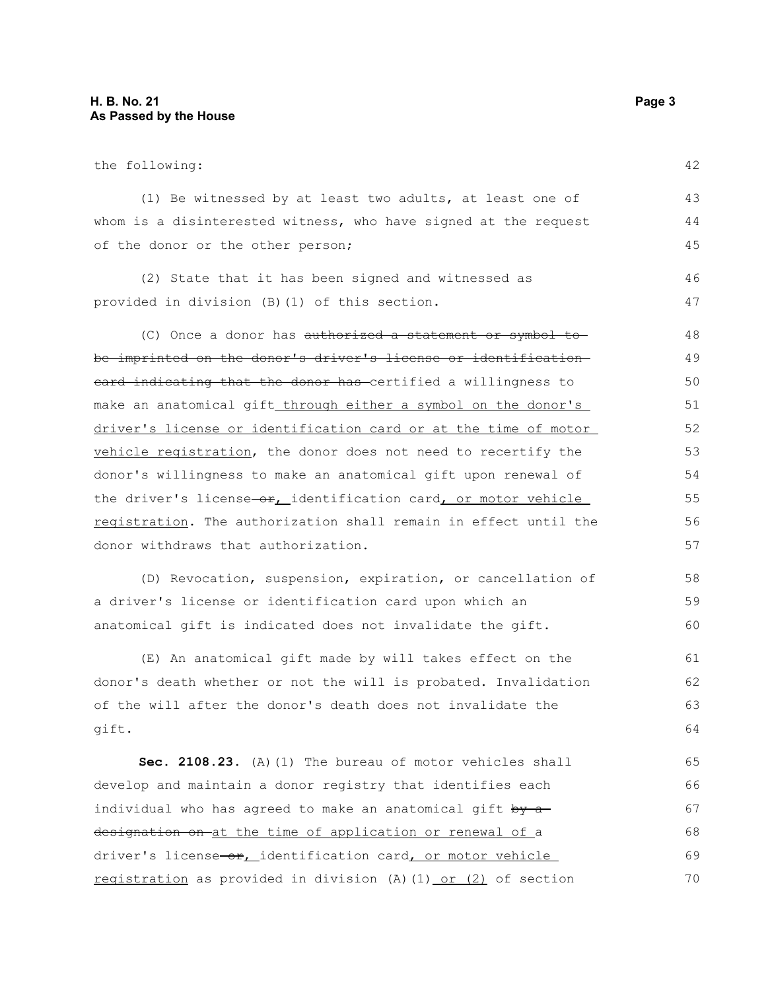| the following:                                                   |    |
|------------------------------------------------------------------|----|
| (1) Be witnessed by at least two adults, at least one of         | 43 |
| whom is a disinterested witness, who have signed at the request  | 44 |
| of the donor or the other person;                                | 45 |
| (2) State that it has been signed and witnessed as               | 46 |
| provided in division (B) (1) of this section.                    | 47 |
| (C) Once a donor has authorized a statement or symbol to         | 48 |
| be imprinted on the donor's driver's license or identification-  | 49 |
| eard indicating that the donor has certified a willingness to    | 50 |
| make an anatomical gift through either a symbol on the donor's   | 51 |
| driver's license or identification card or at the time of motor  | 52 |
| vehicle registration, the donor does not need to recertify the   | 53 |
| donor's willingness to make an anatomical gift upon renewal of   | 54 |
| the driver's license-or, identification card, or motor vehicle   | 55 |
| registration. The authorization shall remain in effect until the | 56 |
| donor withdraws that authorization.                              | 57 |
| (D) Revocation, suspension, expiration, or cancellation of       | 58 |
| a driver's license or identification card upon which an          | 59 |
| anatomical gift is indicated does not invalidate the gift.       | 60 |
| (E) An anatomical gift made by will takes effect on the          | 61 |
| donor's death whether or not the will is probated. Invalidation  | 62 |
| of the will after the donor's death does not invalidate the      | 63 |
| gift.                                                            | 64 |
| $23$ $(N)(1)$ The burges of motor vehicles shall<br>$S_{\Omega}$ | 65 |

**Sec. 2108.23.** (A)(1) The bureau of motor vehicles shall develop and maintain a donor registry that identifies each individual who has agreed to make an anatomical gift  $by -a$ designation on-at the time of application or renewal of a driver's license-or, identification card, or motor vehicle registration as provided in division (A)(1) or (2) of section 65 66 67 68 69 70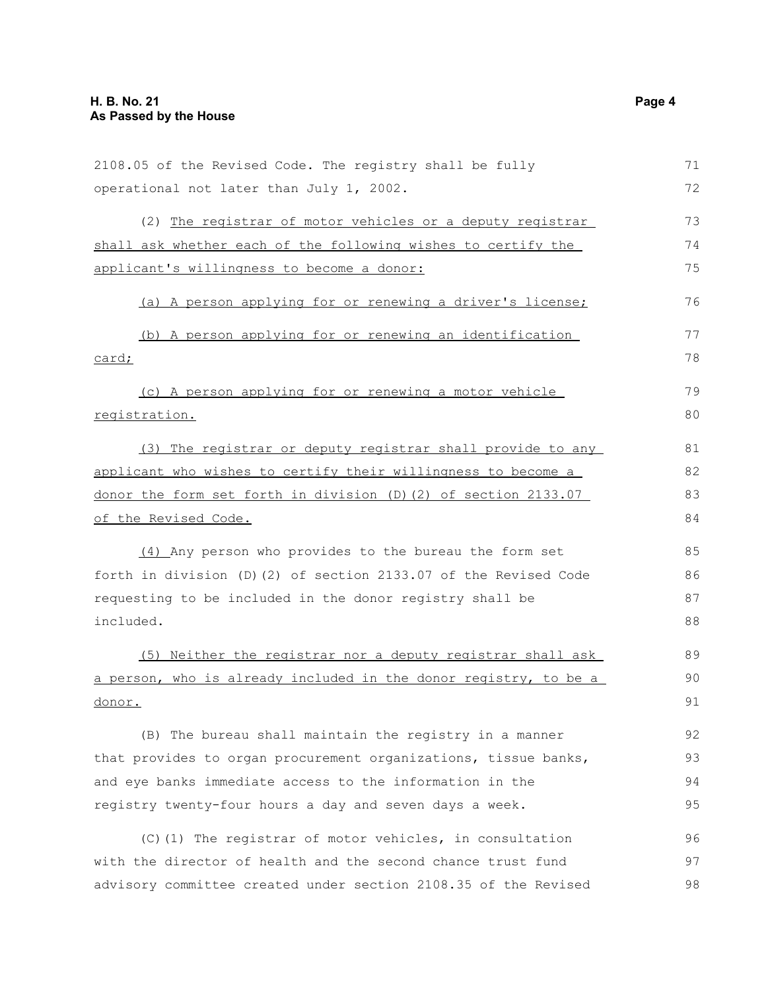| 2108.05 of the Revised Code. The registry shall be fully         | 71       |
|------------------------------------------------------------------|----------|
| operational not later than July 1, 2002.                         |          |
| (2) The registrar of motor vehicles or a deputy registrar        | 73       |
|                                                                  |          |
| shall ask whether each of the following wishes to certify the    | 74       |
| applicant's willingness to become a donor:                       | 75       |
| (a) A person applying for or renewing a driver's license;        | 76       |
| (b) A person applying for or renewing an identification          | 77       |
| card;                                                            | 78       |
| (c) A person applying for or renewing a motor vehicle            | 79       |
| registration.                                                    | 80       |
| (3) The registrar or deputy registrar shall provide to any       | 81       |
| applicant who wishes to certify their willingness to become a    | 82       |
| donor the form set forth in division (D) (2) of section 2133.07  | 83       |
| of the Revised Code.                                             | 84       |
| (4) Any person who provides to the bureau the form set           | 85       |
|                                                                  |          |
| forth in division (D) (2) of section 2133.07 of the Revised Code | 86<br>87 |
| requesting to be included in the donor registry shall be         |          |
| included.                                                        | 88       |
| (5) Neither the registrar nor a deputy registrar shall ask       | 89       |
| a person, who is already included in the donor registry, to be a | 90       |
| donor.                                                           | 91       |
| (B) The bureau shall maintain the registry in a manner           | 92       |
| that provides to organ procurement organizations, tissue banks,  | 93       |
| and eye banks immediate access to the information in the         | 94       |
| registry twenty-four hours a day and seven days a week.          | 95       |
| (C) (1) The registrar of motor vehicles, in consultation         | 96       |
| with the director of health and the second chance trust fund     | 97       |
| advisory committee created under section 2108.35 of the Revised  | 98       |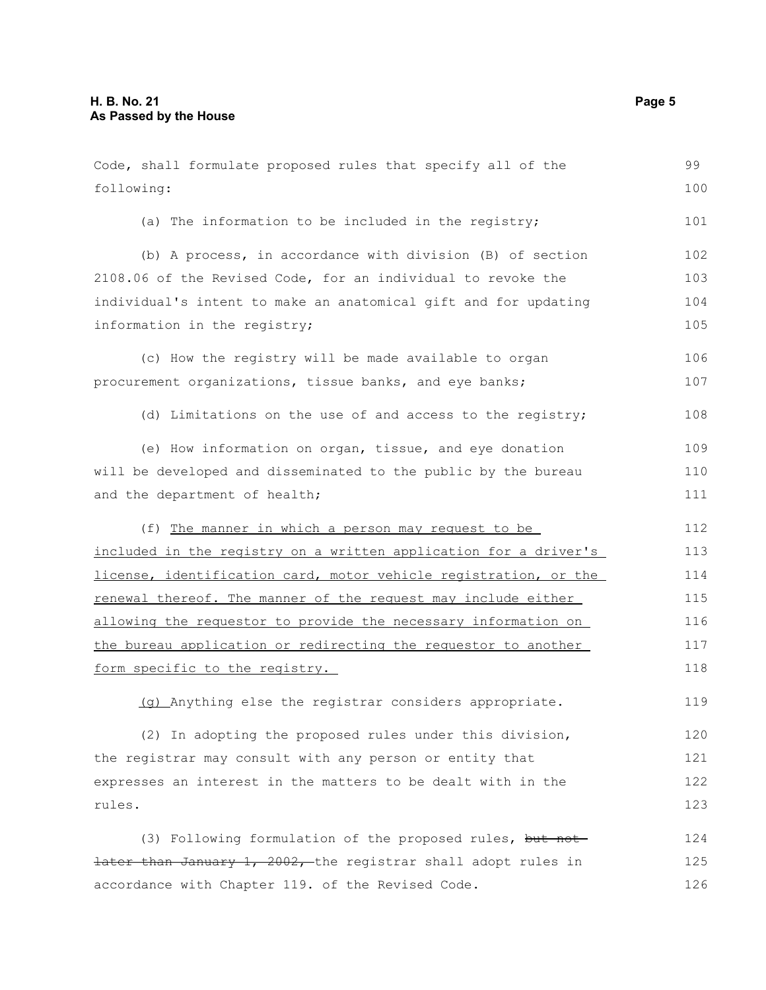Code, shall formulate proposed rules that specify all of the following: (a) The information to be included in the registry; (b) A process, in accordance with division (B) of section 2108.06 of the Revised Code, for an individual to revoke the individual's intent to make an anatomical gift and for updating information in the registry; (c) How the registry will be made available to organ procurement organizations, tissue banks, and eye banks; (d) Limitations on the use of and access to the registry; (e) How information on organ, tissue, and eye donation will be developed and disseminated to the public by the bureau and the department of health; (f) The manner in which a person may request to be included in the registry on a written application for a driver's license, identification card, motor vehicle registration, or the renewal thereof. The manner of the request may include either allowing the requestor to provide the necessary information on the bureau application or redirecting the requestor to another form specific to the registry. (g) Anything else the registrar considers appropriate. (2) In adopting the proposed rules under this division, the registrar may consult with any person or entity that expresses an interest in the matters to be dealt with in the rules. (3) Following formulation of the proposed rules, but not later than January 1, 2002, the registrar shall adopt rules in accordance with Chapter 119. of the Revised Code. 99 100 101 102 103 104 105 106 107 108 109 110 111 112 113 114 115 116 117 118 119 120 121 122 123 124 125 126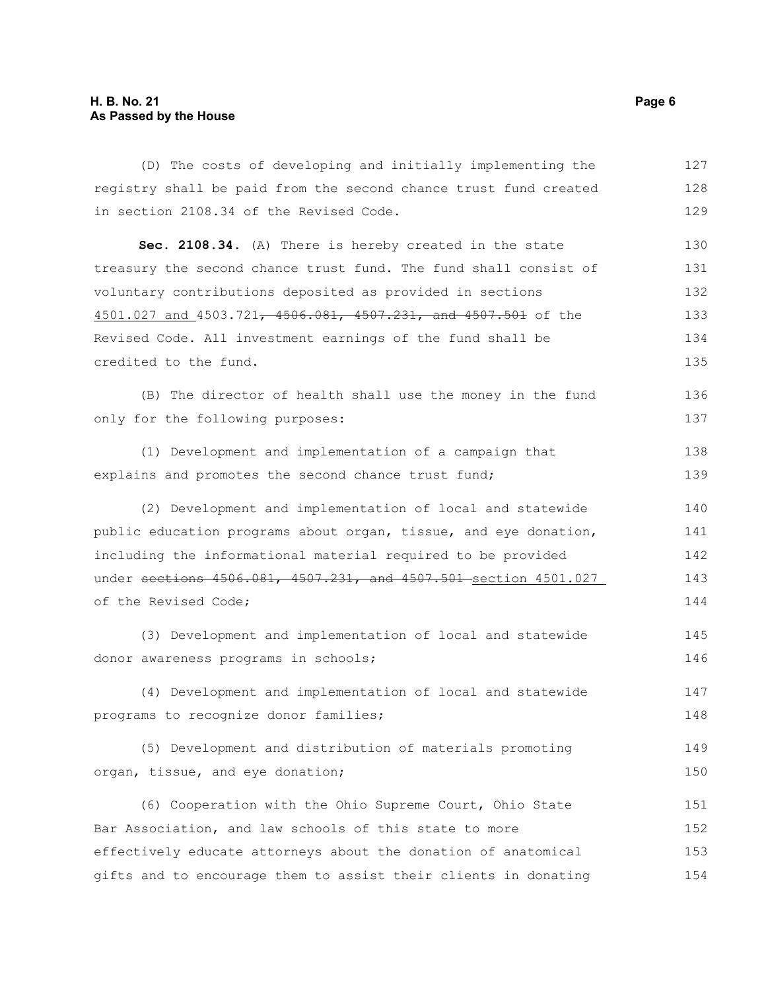#### **H. B. No. 21 Page 6 As Passed by the House**

(D) The costs of developing and initially implementing the registry shall be paid from the second chance trust fund created in section 2108.34 of the Revised Code. 127 128 129

**Sec. 2108.34.** (A) There is hereby created in the state treasury the second chance trust fund. The fund shall consist of voluntary contributions deposited as provided in sections 4501.027 and 4503.721, 4506.081, 4507.231, and 4507.501 of the Revised Code. All investment earnings of the fund shall be credited to the fund. 130 131 132 133 134 135

(B) The director of health shall use the money in the fund only for the following purposes: 136 137

(1) Development and implementation of a campaign that explains and promotes the second chance trust fund; 138 139

(2) Development and implementation of local and statewide public education programs about organ, tissue, and eye donation, including the informational material required to be provided under sections 4506.081, 4507.231, and 4507.501 section 4501.027 of the Revised Code; 140 141 142 143 144

(3) Development and implementation of local and statewide donor awareness programs in schools; 145 146

(4) Development and implementation of local and statewide programs to recognize donor families; 147 148

(5) Development and distribution of materials promoting organ, tissue, and eye donation; 149 150

(6) Cooperation with the Ohio Supreme Court, Ohio State Bar Association, and law schools of this state to more effectively educate attorneys about the donation of anatomical gifts and to encourage them to assist their clients in donating 151 152 153 154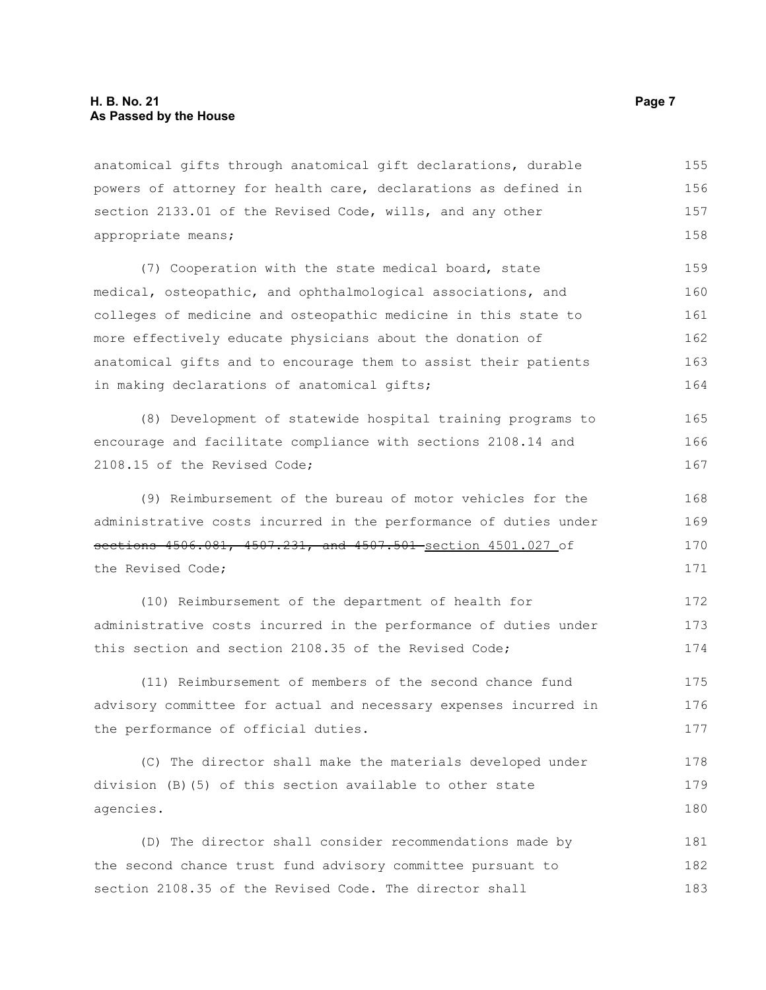anatomical gifts through anatomical gift declarations, durable powers of attorney for health care, declarations as defined in section 2133.01 of the Revised Code, wills, and any other appropriate means; 155 156 157 158

(7) Cooperation with the state medical board, state medical, osteopathic, and ophthalmological associations, and colleges of medicine and osteopathic medicine in this state to more effectively educate physicians about the donation of anatomical gifts and to encourage them to assist their patients in making declarations of anatomical gifts; 159 160 161 162 163 164

(8) Development of statewide hospital training programs to encourage and facilitate compliance with sections 2108.14 and 2108.15 of the Revised Code; 165 166 167

(9) Reimbursement of the bureau of motor vehicles for the administrative costs incurred in the performance of duties under sections 4506.081, 4507.231, and 4507.501 section 4501.027 of the Revised Code; 168 169 170 171

(10) Reimbursement of the department of health for administrative costs incurred in the performance of duties under this section and section 2108.35 of the Revised Code; 172 173 174

(11) Reimbursement of members of the second chance fund advisory committee for actual and necessary expenses incurred in the performance of official duties. 175 176 177

(C) The director shall make the materials developed under division (B)(5) of this section available to other state agencies. 178 179 180

(D) The director shall consider recommendations made by the second chance trust fund advisory committee pursuant to section 2108.35 of the Revised Code. The director shall 181 182 183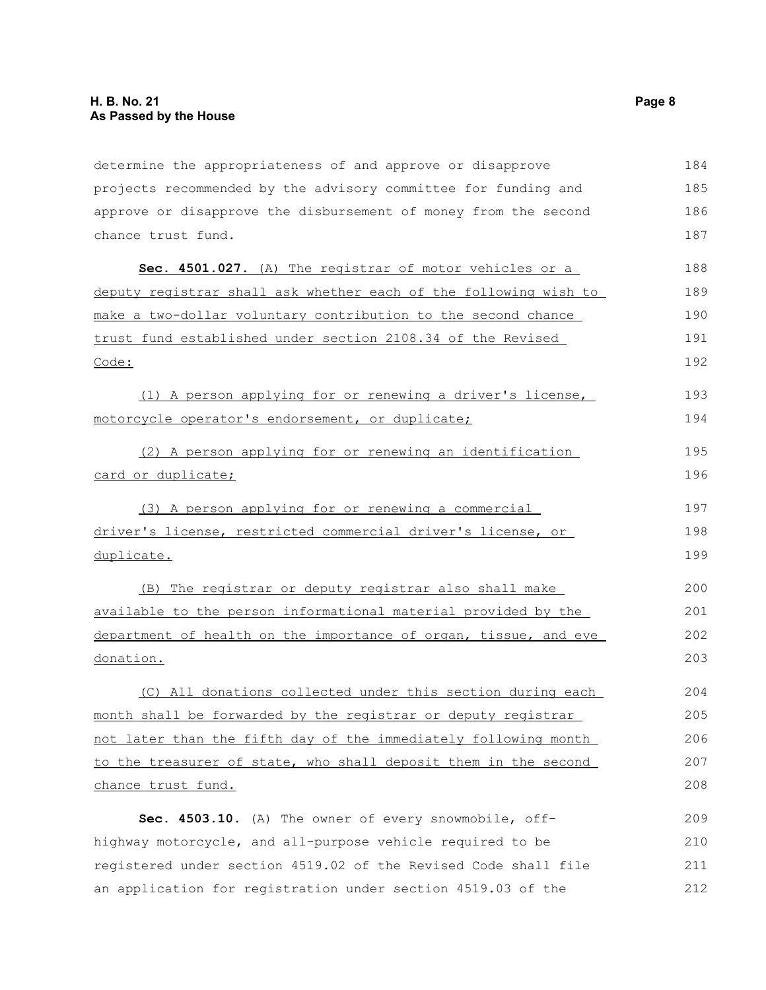determine the appropriateness of and approve or disapprove projects recommended by the advisory committee for funding and approve or disapprove the disbursement of money from the second chance trust fund. **Sec. 4501.027.** (A) The registrar of motor vehicles or a deputy registrar shall ask whether each of the following wish to make a two-dollar voluntary contribution to the second chance trust fund established under section 2108.34 of the Revised Code: (1) A person applying for or renewing a driver's license, motorcycle operator's endorsement, or duplicate; (2) A person applying for or renewing an identification card or duplicate; (3) A person applying for or renewing a commercial driver's license, restricted commercial driver's license, or duplicate. (B) The registrar or deputy registrar also shall make available to the person informational material provided by the department of health on the importance of organ, tissue, and eye donation. (C) All donations collected under this section during each month shall be forwarded by the registrar or deputy registrar not later than the fifth day of the immediately following month to the treasurer of state, who shall deposit them in the second chance trust fund. **Sec. 4503.10.** (A) The owner of every snowmobile, offhighway motorcycle, and all-purpose vehicle required to be 184 185 186 187 188 189 190 191 192 193 194 195 196 197 198 199 200 201 202 203 204 205 206 207 208 209 210

registered under section 4519.02 of the Revised Code shall file an application for registration under section 4519.03 of the 211 212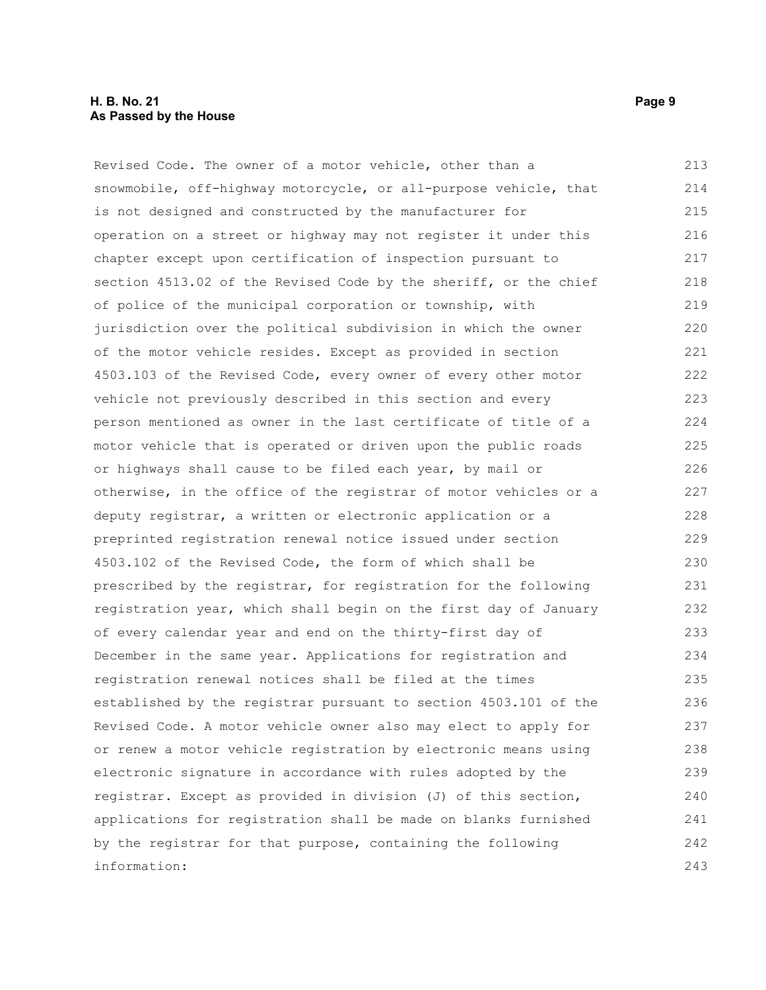Revised Code. The owner of a motor vehicle, other than a snowmobile, off-highway motorcycle, or all-purpose vehicle, that is not designed and constructed by the manufacturer for operation on a street or highway may not register it under this chapter except upon certification of inspection pursuant to section 4513.02 of the Revised Code by the sheriff, or the chief of police of the municipal corporation or township, with jurisdiction over the political subdivision in which the owner of the motor vehicle resides. Except as provided in section 4503.103 of the Revised Code, every owner of every other motor vehicle not previously described in this section and every person mentioned as owner in the last certificate of title of a motor vehicle that is operated or driven upon the public roads or highways shall cause to be filed each year, by mail or otherwise, in the office of the registrar of motor vehicles or a deputy registrar, a written or electronic application or a preprinted registration renewal notice issued under section 4503.102 of the Revised Code, the form of which shall be prescribed by the registrar, for registration for the following registration year, which shall begin on the first day of January of every calendar year and end on the thirty-first day of December in the same year. Applications for registration and registration renewal notices shall be filed at the times established by the registrar pursuant to section 4503.101 of the Revised Code. A motor vehicle owner also may elect to apply for or renew a motor vehicle registration by electronic means using electronic signature in accordance with rules adopted by the registrar. Except as provided in division (J) of this section, applications for registration shall be made on blanks furnished by the registrar for that purpose, containing the following information: 213 214 215 216 217 218 219 220 221 222 223 224 225 226 227 228 229 230 231 232 233 234 235 236 237 238 239 240 241 242 243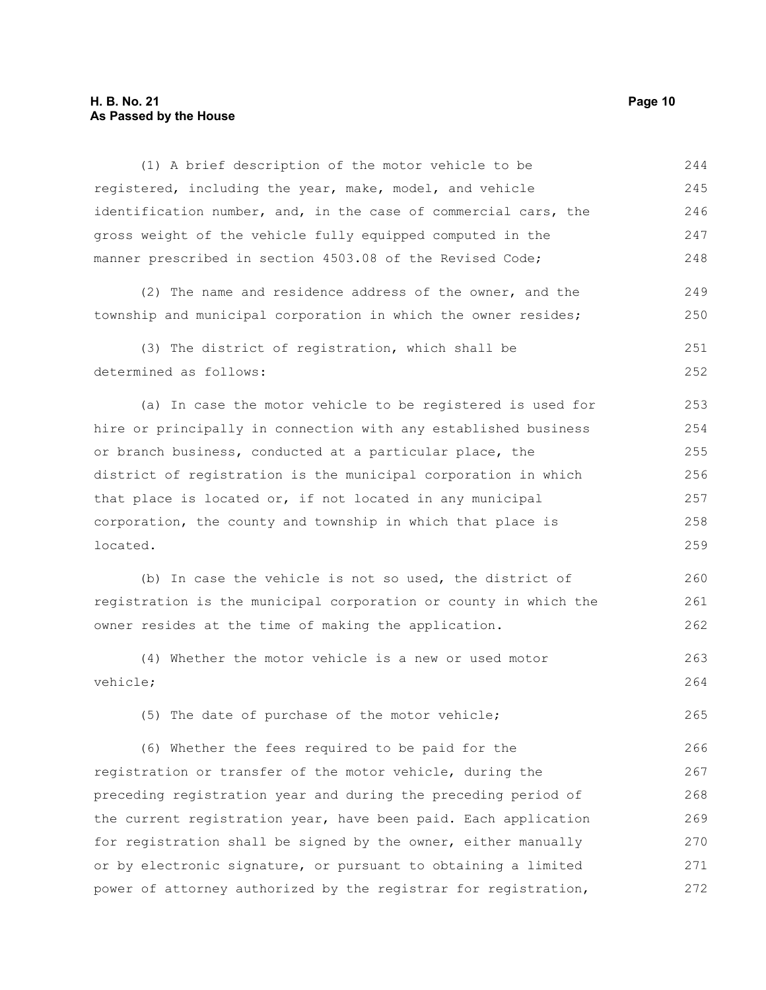### **H. B. No. 21 Page 10 As Passed by the House**

| (1) A brief description of the motor vehicle to be               | 244 |
|------------------------------------------------------------------|-----|
| registered, including the year, make, model, and vehicle         | 245 |
| identification number, and, in the case of commercial cars, the  | 246 |
| gross weight of the vehicle fully equipped computed in the       | 247 |
| manner prescribed in section 4503.08 of the Revised Code;        |     |
| (2) The name and residence address of the owner, and the         | 249 |
| township and municipal corporation in which the owner resides;   | 250 |
| (3) The district of registration, which shall be                 | 251 |
| determined as follows:                                           | 252 |
| (a) In case the motor vehicle to be registered is used for       | 253 |
| hire or principally in connection with any established business  | 254 |
| or branch business, conducted at a particular place, the         | 255 |
| district of registration is the municipal corporation in which   | 256 |
| that place is located or, if not located in any municipal        | 257 |
| corporation, the county and township in which that place is      |     |
| located.                                                         | 259 |
| (b) In case the vehicle is not so used, the district of          | 260 |
| registration is the municipal corporation or county in which the | 261 |
| owner resides at the time of making the application.             | 262 |
| (4) Whether the motor vehicle is a new or used motor             | 263 |
| vehicle;                                                         | 264 |
| (5) The date of purchase of the motor vehicle;                   | 265 |
| (6) Whether the fees required to be paid for the                 | 266 |
| registration or transfer of the motor vehicle, during the        | 267 |
| preceding registration year and during the preceding period of   | 268 |
| the current registration year, have been paid. Each application  | 269 |
| for registration shall be signed by the owner, either manually   | 270 |
| or by electronic signature, or pursuant to obtaining a limited   | 271 |
| power of attorney authorized by the registrar for registration,  | 272 |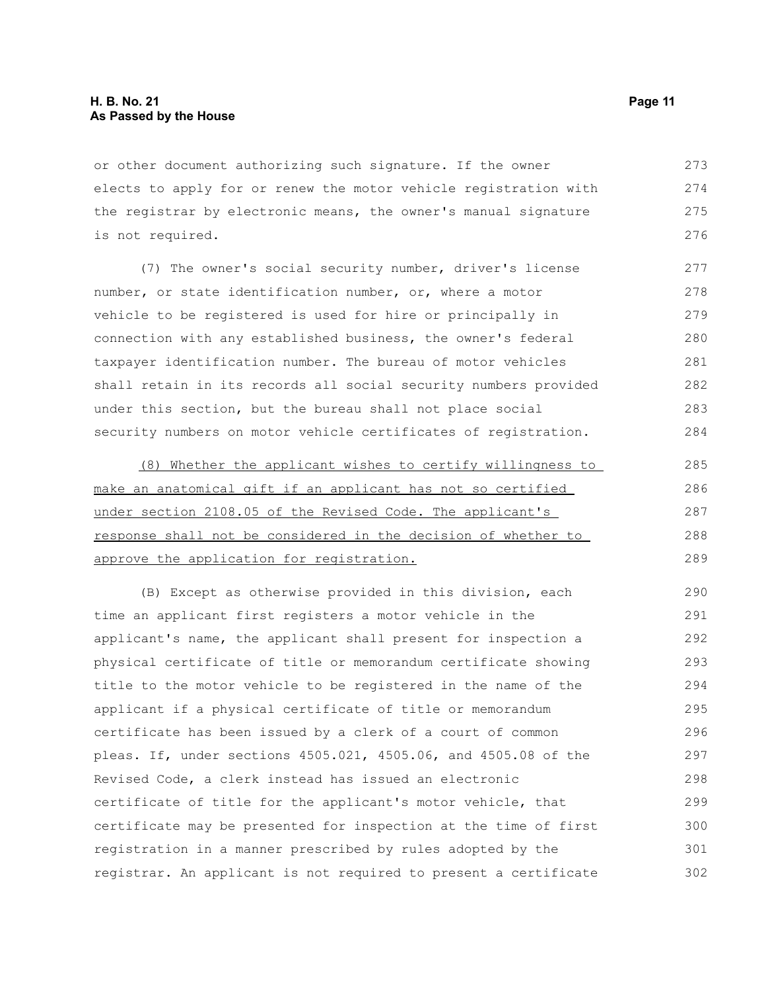#### **H. B. No. 21 Page 11 As Passed by the House**

or other document authorizing such signature. If the owner elects to apply for or renew the motor vehicle registration with the registrar by electronic means, the owner's manual signature is not required. 273 274 275 276

(7) The owner's social security number, driver's license number, or state identification number, or, where a motor vehicle to be registered is used for hire or principally in connection with any established business, the owner's federal taxpayer identification number. The bureau of motor vehicles shall retain in its records all social security numbers provided under this section, but the bureau shall not place social security numbers on motor vehicle certificates of registration. 277 278 279 280 281 282 283 284

(8) Whether the applicant wishes to certify willingness to make an anatomical gift if an applicant has not so certified under section 2108.05 of the Revised Code. The applicant's response shall not be considered in the decision of whether to approve the application for registration. 285 286 287 288 289

(B) Except as otherwise provided in this division, each time an applicant first registers a motor vehicle in the applicant's name, the applicant shall present for inspection a physical certificate of title or memorandum certificate showing title to the motor vehicle to be registered in the name of the applicant if a physical certificate of title or memorandum certificate has been issued by a clerk of a court of common pleas. If, under sections 4505.021, 4505.06, and 4505.08 of the Revised Code, a clerk instead has issued an electronic certificate of title for the applicant's motor vehicle, that certificate may be presented for inspection at the time of first registration in a manner prescribed by rules adopted by the registrar. An applicant is not required to present a certificate 290 291 292 293 294 295 296 297 298 299 300 301 302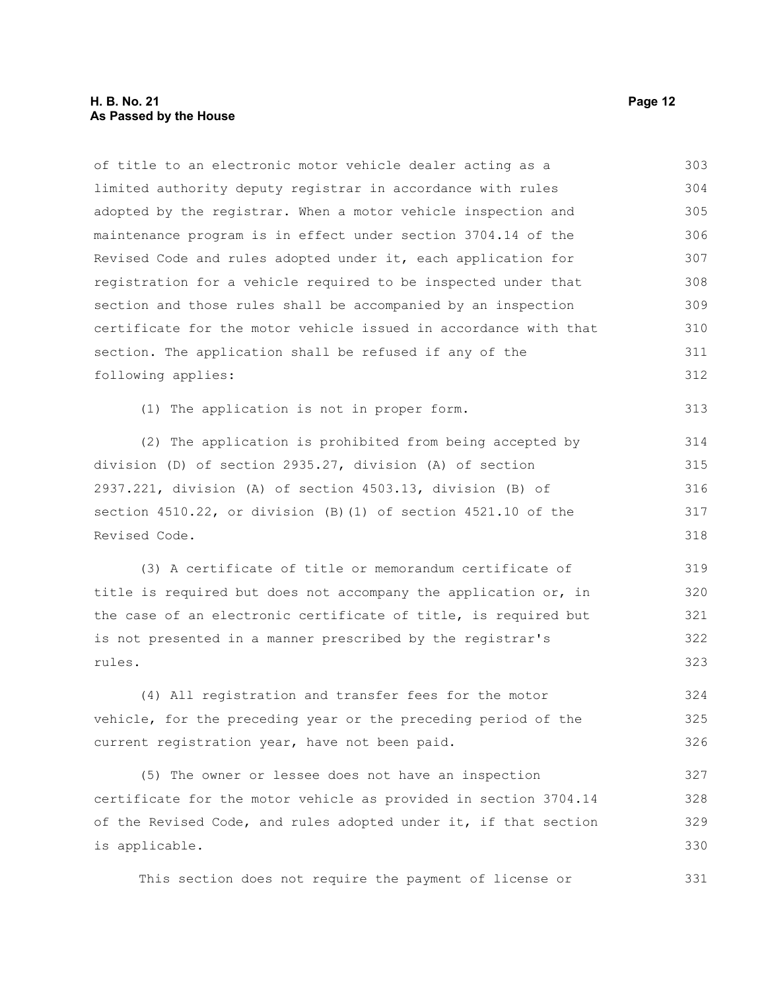#### **H. B. No. 21 Page 12 As Passed by the House**

of title to an electronic motor vehicle dealer acting as a limited authority deputy registrar in accordance with rules adopted by the registrar. When a motor vehicle inspection and maintenance program is in effect under section 3704.14 of the Revised Code and rules adopted under it, each application for registration for a vehicle required to be inspected under that section and those rules shall be accompanied by an inspection certificate for the motor vehicle issued in accordance with that section. The application shall be refused if any of the following applies: (1) The application is not in proper form. (2) The application is prohibited from being accepted by division (D) of section 2935.27, division (A) of section 2937.221, division (A) of section 4503.13, division (B) of section 4510.22, or division (B)(1) of section 4521.10 of the Revised Code. (3) A certificate of title or memorandum certificate of title is required but does not accompany the application or, in the case of an electronic certificate of title, is required but is not presented in a manner prescribed by the registrar's rules. (4) All registration and transfer fees for the motor vehicle, for the preceding year or the preceding period of the current registration year, have not been paid. (5) The owner or lessee does not have an inspection certificate for the motor vehicle as provided in section 3704.14 of the Revised Code, and rules adopted under it, if that section is applicable. This section does not require the payment of license or 303 304 305 306 307 308 309 310 311 312 313 314 315 316 317 318 319 320 321 322 323 324 325 326 327 328 329 330 331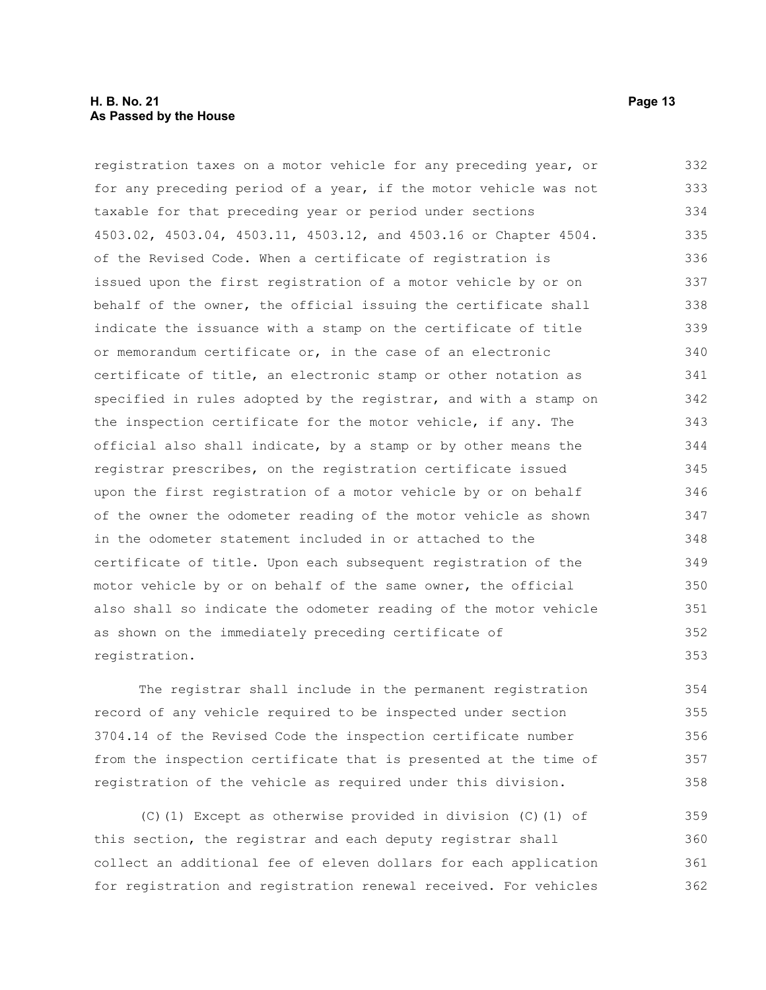#### **H. B. No. 21 Page 13 As Passed by the House**

registration taxes on a motor vehicle for any preceding year, or for any preceding period of a year, if the motor vehicle was not taxable for that preceding year or period under sections 4503.02, 4503.04, 4503.11, 4503.12, and 4503.16 or Chapter 4504. of the Revised Code. When a certificate of registration is issued upon the first registration of a motor vehicle by or on behalf of the owner, the official issuing the certificate shall indicate the issuance with a stamp on the certificate of title or memorandum certificate or, in the case of an electronic certificate of title, an electronic stamp or other notation as specified in rules adopted by the registrar, and with a stamp on the inspection certificate for the motor vehicle, if any. The official also shall indicate, by a stamp or by other means the registrar prescribes, on the registration certificate issued upon the first registration of a motor vehicle by or on behalf of the owner the odometer reading of the motor vehicle as shown in the odometer statement included in or attached to the certificate of title. Upon each subsequent registration of the motor vehicle by or on behalf of the same owner, the official also shall so indicate the odometer reading of the motor vehicle as shown on the immediately preceding certificate of registration. 332 333 334 335 336 337 338 339 340 341 342 343 344 345 346 347 348 349 350 351 352 353

The registrar shall include in the permanent registration record of any vehicle required to be inspected under section 3704.14 of the Revised Code the inspection certificate number from the inspection certificate that is presented at the time of registration of the vehicle as required under this division.

(C)(1) Except as otherwise provided in division (C)(1) of this section, the registrar and each deputy registrar shall collect an additional fee of eleven dollars for each application for registration and registration renewal received. For vehicles 359 360 361 362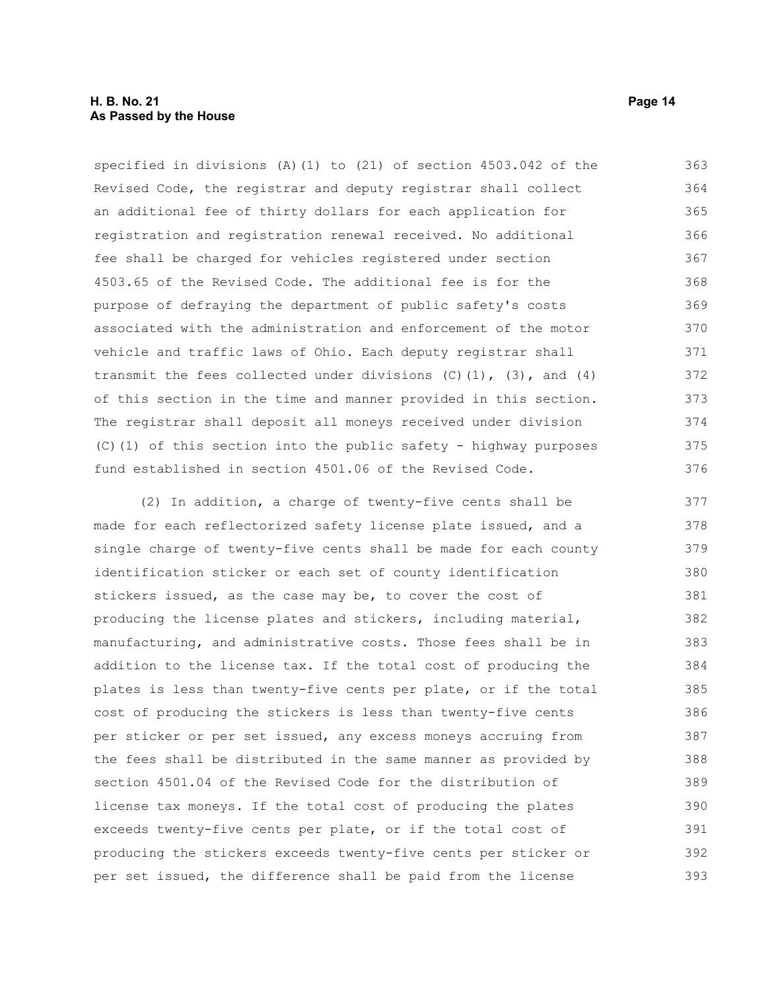#### **H. B. No. 21 Page 14 As Passed by the House**

specified in divisions (A)(1) to (21) of section 4503.042 of the Revised Code, the registrar and deputy registrar shall collect an additional fee of thirty dollars for each application for registration and registration renewal received. No additional fee shall be charged for vehicles registered under section 4503.65 of the Revised Code. The additional fee is for the purpose of defraying the department of public safety's costs associated with the administration and enforcement of the motor vehicle and traffic laws of Ohio. Each deputy registrar shall transmit the fees collected under divisions  $(C)$   $(1)$ ,  $(3)$ , and  $(4)$ of this section in the time and manner provided in this section. The registrar shall deposit all moneys received under division (C)(1) of this section into the public safety - highway purposes fund established in section 4501.06 of the Revised Code. 363 364 365 366 367 368 369 370 371 372 373 374 375 376

(2) In addition, a charge of twenty-five cents shall be made for each reflectorized safety license plate issued, and a single charge of twenty-five cents shall be made for each county identification sticker or each set of county identification stickers issued, as the case may be, to cover the cost of producing the license plates and stickers, including material, manufacturing, and administrative costs. Those fees shall be in addition to the license tax. If the total cost of producing the plates is less than twenty-five cents per plate, or if the total cost of producing the stickers is less than twenty-five cents per sticker or per set issued, any excess moneys accruing from the fees shall be distributed in the same manner as provided by section 4501.04 of the Revised Code for the distribution of license tax moneys. If the total cost of producing the plates exceeds twenty-five cents per plate, or if the total cost of producing the stickers exceeds twenty-five cents per sticker or per set issued, the difference shall be paid from the license 377 378 379 380 381 382 383 384 385 386 387 388 389 390 391 392 393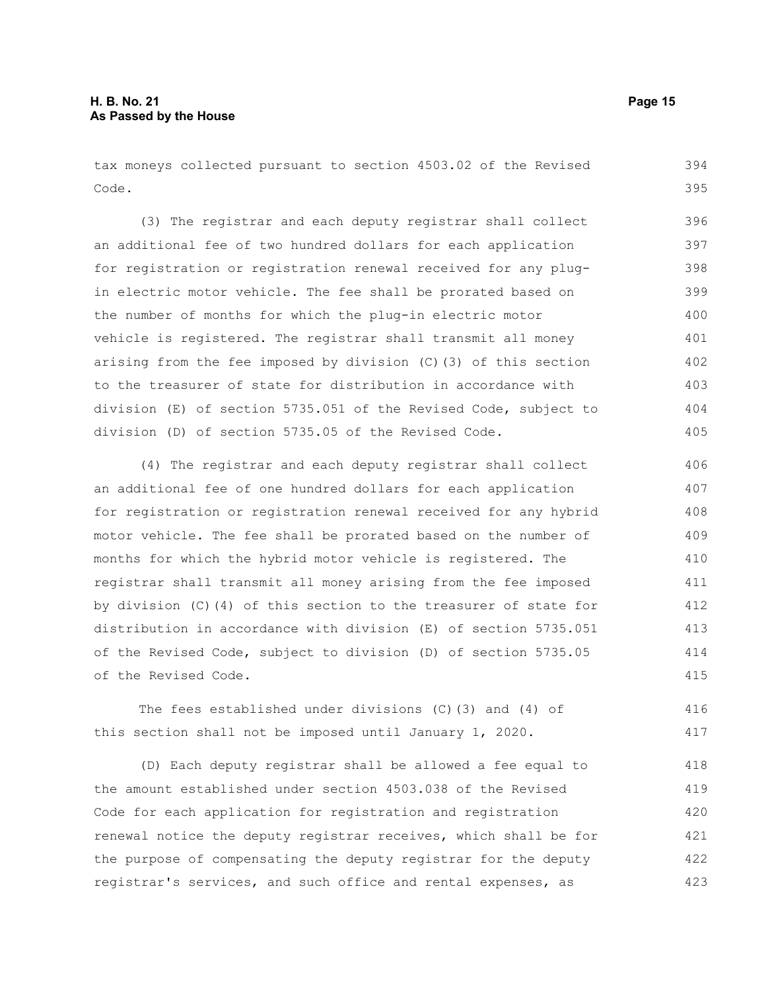tax moneys collected pursuant to section 4503.02 of the Revised Code.

(3) The registrar and each deputy registrar shall collect an additional fee of two hundred dollars for each application for registration or registration renewal received for any plugin electric motor vehicle. The fee shall be prorated based on the number of months for which the plug-in electric motor vehicle is registered. The registrar shall transmit all money arising from the fee imposed by division (C)(3) of this section to the treasurer of state for distribution in accordance with division (E) of section 5735.051 of the Revised Code, subject to division (D) of section 5735.05 of the Revised Code. 396 397 398 399 400 401 402 403 404 405

(4) The registrar and each deputy registrar shall collect an additional fee of one hundred dollars for each application for registration or registration renewal received for any hybrid motor vehicle. The fee shall be prorated based on the number of months for which the hybrid motor vehicle is registered. The registrar shall transmit all money arising from the fee imposed by division (C)(4) of this section to the treasurer of state for distribution in accordance with division (E) of section 5735.051 of the Revised Code, subject to division (D) of section 5735.05 of the Revised Code. 406 407 408 409 410 411 412 413 414 415

The fees established under divisions (C)(3) and (4) of this section shall not be imposed until January 1, 2020. 416 417

(D) Each deputy registrar shall be allowed a fee equal to the amount established under section 4503.038 of the Revised Code for each application for registration and registration renewal notice the deputy registrar receives, which shall be for the purpose of compensating the deputy registrar for the deputy registrar's services, and such office and rental expenses, as 418 419 420 421 422 423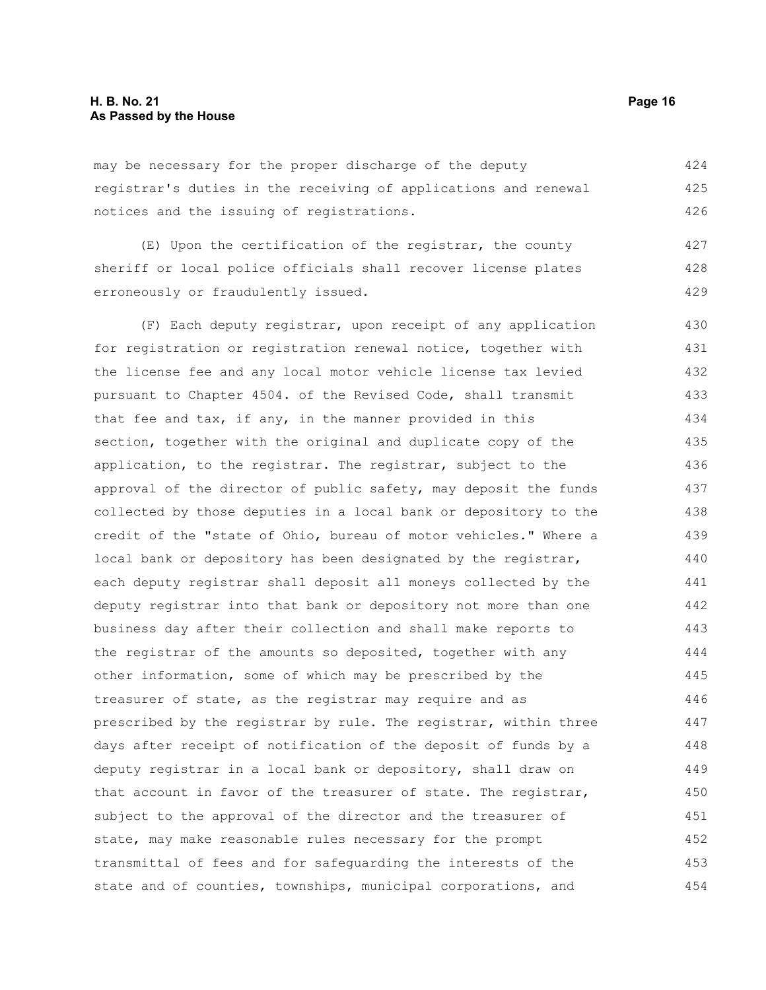#### **H. B. No. 21 Page 16 As Passed by the House**

may be necessary for the proper discharge of the deputy registrar's duties in the receiving of applications and renewal notices and the issuing of registrations. 424 425 426

(E) Upon the certification of the registrar, the county sheriff or local police officials shall recover license plates erroneously or fraudulently issued. 427 428 429

(F) Each deputy registrar, upon receipt of any application for registration or registration renewal notice, together with the license fee and any local motor vehicle license tax levied pursuant to Chapter 4504. of the Revised Code, shall transmit that fee and tax, if any, in the manner provided in this section, together with the original and duplicate copy of the application, to the registrar. The registrar, subject to the approval of the director of public safety, may deposit the funds collected by those deputies in a local bank or depository to the credit of the "state of Ohio, bureau of motor vehicles." Where a local bank or depository has been designated by the registrar, each deputy registrar shall deposit all moneys collected by the deputy registrar into that bank or depository not more than one business day after their collection and shall make reports to the registrar of the amounts so deposited, together with any other information, some of which may be prescribed by the treasurer of state, as the registrar may require and as prescribed by the registrar by rule. The registrar, within three days after receipt of notification of the deposit of funds by a deputy registrar in a local bank or depository, shall draw on that account in favor of the treasurer of state. The registrar, subject to the approval of the director and the treasurer of state, may make reasonable rules necessary for the prompt transmittal of fees and for safeguarding the interests of the state and of counties, townships, municipal corporations, and 430 431 432 433 434 435 436 437 438 439 440 441 442 443 444 445 446 447 448 449 450 451 452 453 454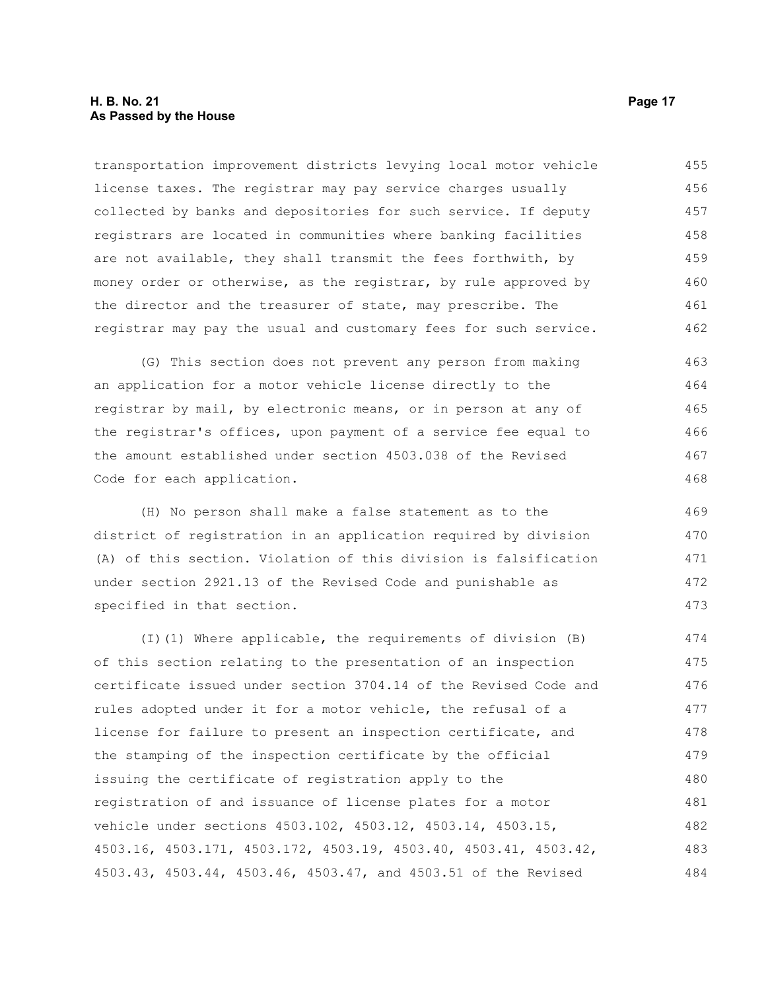#### **H. B. No. 21 Page 17 As Passed by the House**

transportation improvement districts levying local motor vehicle license taxes. The registrar may pay service charges usually collected by banks and depositories for such service. If deputy registrars are located in communities where banking facilities are not available, they shall transmit the fees forthwith, by money order or otherwise, as the registrar, by rule approved by the director and the treasurer of state, may prescribe. The registrar may pay the usual and customary fees for such service. 455 456 457 458 459 460 461 462

(G) This section does not prevent any person from making an application for a motor vehicle license directly to the registrar by mail, by electronic means, or in person at any of the registrar's offices, upon payment of a service fee equal to the amount established under section 4503.038 of the Revised Code for each application. 463 464 465 466 467 468

(H) No person shall make a false statement as to the district of registration in an application required by division (A) of this section. Violation of this division is falsification under section 2921.13 of the Revised Code and punishable as specified in that section.

(I)(1) Where applicable, the requirements of division (B) of this section relating to the presentation of an inspection certificate issued under section 3704.14 of the Revised Code and rules adopted under it for a motor vehicle, the refusal of a license for failure to present an inspection certificate, and the stamping of the inspection certificate by the official issuing the certificate of registration apply to the registration of and issuance of license plates for a motor vehicle under sections 4503.102, 4503.12, 4503.14, 4503.15, 4503.16, 4503.171, 4503.172, 4503.19, 4503.40, 4503.41, 4503.42, 4503.43, 4503.44, 4503.46, 4503.47, and 4503.51 of the Revised 474 475 476 477 478 479 480 481 482 483 484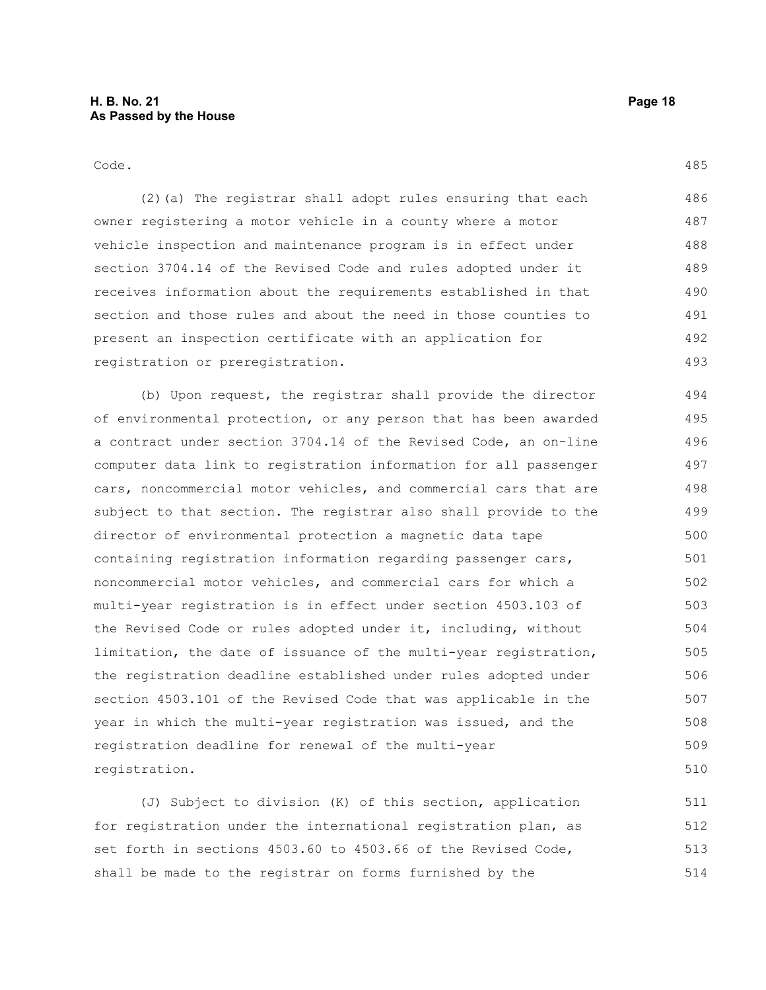Code.

(2)(a) The registrar shall adopt rules ensuring that each owner registering a motor vehicle in a county where a motor vehicle inspection and maintenance program is in effect under section 3704.14 of the Revised Code and rules adopted under it receives information about the requirements established in that section and those rules and about the need in those counties to present an inspection certificate with an application for registration or preregistration. 486 487 488 489 490 491 492 493

(b) Upon request, the registrar shall provide the director of environmental protection, or any person that has been awarded a contract under section 3704.14 of the Revised Code, an on-line computer data link to registration information for all passenger cars, noncommercial motor vehicles, and commercial cars that are subject to that section. The registrar also shall provide to the director of environmental protection a magnetic data tape containing registration information regarding passenger cars, noncommercial motor vehicles, and commercial cars for which a multi-year registration is in effect under section 4503.103 of the Revised Code or rules adopted under it, including, without limitation, the date of issuance of the multi-year registration, the registration deadline established under rules adopted under section 4503.101 of the Revised Code that was applicable in the year in which the multi-year registration was issued, and the registration deadline for renewal of the multi-year registration. 494 495 496 497 498 499 500 501 502 503 504 505 506 507 508 509 510

(J) Subject to division (K) of this section, application for registration under the international registration plan, as set forth in sections 4503.60 to 4503.66 of the Revised Code, shall be made to the registrar on forms furnished by the 511 512 513 514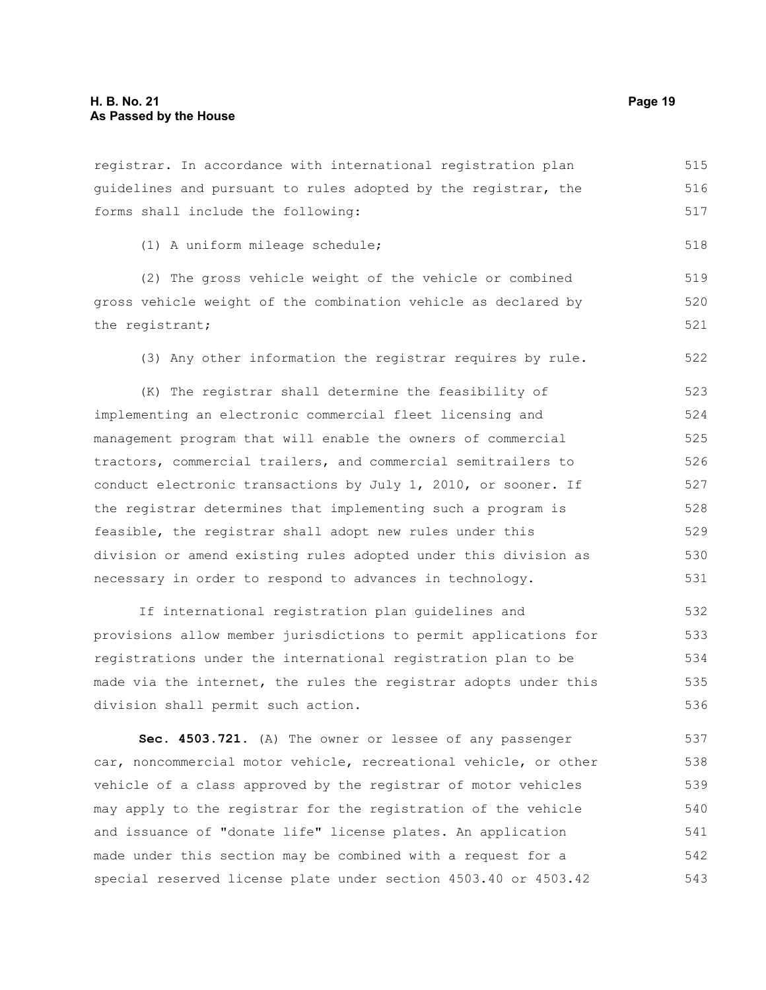registrar. In accordance with international registration plan guidelines and pursuant to rules adopted by the registrar, the forms shall include the following: (1) A uniform mileage schedule; (2) The gross vehicle weight of the vehicle or combined gross vehicle weight of the combination vehicle as declared by the registrant; (3) Any other information the registrar requires by rule. (K) The registrar shall determine the feasibility of implementing an electronic commercial fleet licensing and management program that will enable the owners of commercial tractors, commercial trailers, and commercial semitrailers to conduct electronic transactions by July 1, 2010, or sooner. If the registrar determines that implementing such a program is feasible, the registrar shall adopt new rules under this division or amend existing rules adopted under this division as necessary in order to respond to advances in technology. 515 516 517 518 519 520 521 522 523 524 525 526 527 528 529 530 531

If international registration plan guidelines and provisions allow member jurisdictions to permit applications for registrations under the international registration plan to be made via the internet, the rules the registrar adopts under this division shall permit such action. 532 533 534 535 536

**Sec. 4503.721.** (A) The owner or lessee of any passenger car, noncommercial motor vehicle, recreational vehicle, or other vehicle of a class approved by the registrar of motor vehicles may apply to the registrar for the registration of the vehicle and issuance of "donate life" license plates. An application made under this section may be combined with a request for a special reserved license plate under section 4503.40 or 4503.42 537 538 539 540 541 542 543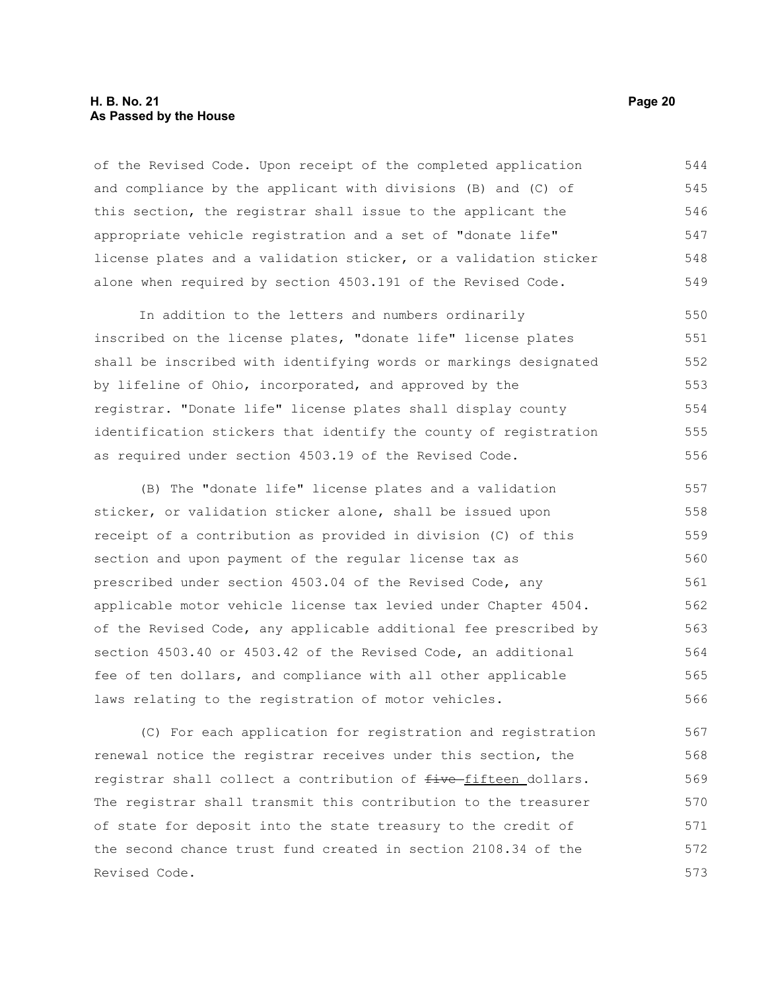#### **H. B. No. 21 Page 20 As Passed by the House**

of the Revised Code. Upon receipt of the completed application and compliance by the applicant with divisions (B) and (C) of this section, the registrar shall issue to the applicant the appropriate vehicle registration and a set of "donate life" license plates and a validation sticker, or a validation sticker alone when required by section 4503.191 of the Revised Code. 544 545 546 547 548 549

In addition to the letters and numbers ordinarily inscribed on the license plates, "donate life" license plates shall be inscribed with identifying words or markings designated by lifeline of Ohio, incorporated, and approved by the registrar. "Donate life" license plates shall display county identification stickers that identify the county of registration as required under section 4503.19 of the Revised Code. 550 551 552 553 554 555 556

(B) The "donate life" license plates and a validation sticker, or validation sticker alone, shall be issued upon receipt of a contribution as provided in division (C) of this section and upon payment of the regular license tax as prescribed under section 4503.04 of the Revised Code, any applicable motor vehicle license tax levied under Chapter 4504. of the Revised Code, any applicable additional fee prescribed by section 4503.40 or 4503.42 of the Revised Code, an additional fee of ten dollars, and compliance with all other applicable laws relating to the registration of motor vehicles. 557 558 559 560 561 562 563 564 565 566

(C) For each application for registration and registration renewal notice the registrar receives under this section, the registrar shall collect a contribution of  $f$ ive-fifteen dollars. The registrar shall transmit this contribution to the treasurer of state for deposit into the state treasury to the credit of the second chance trust fund created in section 2108.34 of the Revised Code. 567 568 569 570 571 572 573